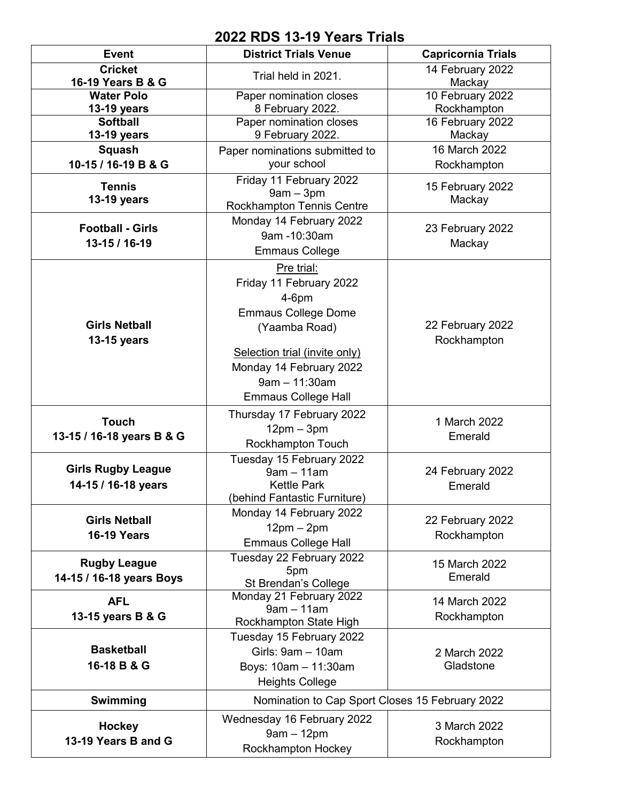## **2022 RDS 13-19 Years Trials**

| <b>Event</b>                     | <b>District Trials Venue</b>                       | <b>Capricornia Trials</b>       |
|----------------------------------|----------------------------------------------------|---------------------------------|
| <b>Cricket</b>                   | Trial held in 2021.                                | 14 February 2022                |
| 16-19 Years B & G                |                                                    | Mackay                          |
| <b>Water Polo</b><br>13-19 years | Paper nomination closes<br>8 February 2022.        | 10 February 2022<br>Rockhampton |
| <b>Softball</b>                  | Paper nomination closes                            | 16 February 2022                |
| 13-19 years                      | 9 February 2022.                                   | Mackay                          |
| Squash                           | Paper nominations submitted to                     | 16 March 2022                   |
| 10-15 / 16-19 B & G              | your school                                        | Rockhampton                     |
| <b>Tennis</b>                    | Friday 11 February 2022                            | 15 February 2022                |
| 13-19 years                      | $9am - 3pm$                                        | Mackay                          |
|                                  | <b>Rockhampton Tennis Centre</b>                   |                                 |
| <b>Football - Girls</b>          | Monday 14 February 2022                            | 23 February 2022                |
| 13-15 / 16-19                    | 9am -10:30am                                       | Mackay                          |
|                                  | <b>Emmaus College</b>                              |                                 |
|                                  | Pre trial:                                         |                                 |
|                                  | Friday 11 February 2022                            |                                 |
|                                  | $4-6$ pm                                           |                                 |
| <b>Girls Netball</b>             | <b>Emmaus College Dome</b>                         | 22 February 2022                |
| 13-15 years                      | (Yaamba Road)                                      | Rockhampton                     |
|                                  | Selection trial (invite only)                      |                                 |
|                                  | Monday 14 February 2022                            |                                 |
|                                  | $9am - 11:30am$                                    |                                 |
|                                  | <b>Emmaus College Hall</b>                         |                                 |
|                                  | Thursday 17 February 2022                          |                                 |
| <b>Touch</b>                     | $12pm - 3pm$                                       | 1 March 2022                    |
| 13-15 / 16-18 years B & G        | Rockhampton Touch                                  | Emerald                         |
|                                  | Tuesday 15 February 2022                           |                                 |
| <b>Girls Rugby League</b>        | $9am - 11am$                                       | 24 February 2022                |
| 14-15 / 16-18 years              | <b>Kettle Park</b><br>(behind Fantastic Furniture) | Emerald                         |
|                                  | Monday 14 February 2022                            |                                 |
| <b>Girls Netball</b>             | $12pm - 2pm$                                       | 22 February 2022                |
| <b>16-19 Years</b>               | <b>Emmaus College Hall</b>                         | Rockhampton                     |
|                                  | Tuesday 22 February 2022                           |                                 |
| <b>Rugby League</b>              | 5pm                                                | 15 March 2022<br>Emerald        |
| 14-15 / 16-18 years Boys         | St Brendan's College                               |                                 |
| <b>AFL</b>                       | Monday 21 February 2022<br>$9am - 11am$            | 14 March 2022                   |
| 13-15 years B & G                | Rockhampton State High                             | Rockhampton                     |
|                                  | Tuesday 15 February 2022                           |                                 |
| <b>Basketball</b>                | Girls: 9am - 10am                                  | 2 March 2022                    |
| 16-18 B & G                      | Boys: 10am - 11:30am                               | Gladstone                       |
|                                  | <b>Heights College</b>                             |                                 |
| Swimming                         | Nomination to Cap Sport Closes 15 February 2022    |                                 |
|                                  |                                                    |                                 |
| <b>Hockey</b>                    | Wednesday 16 February 2022<br>$9am - 12pm$         | 3 March 2022                    |
| 13-19 Years B and G              | Rockhampton Hockey                                 | Rockhampton                     |
|                                  |                                                    |                                 |